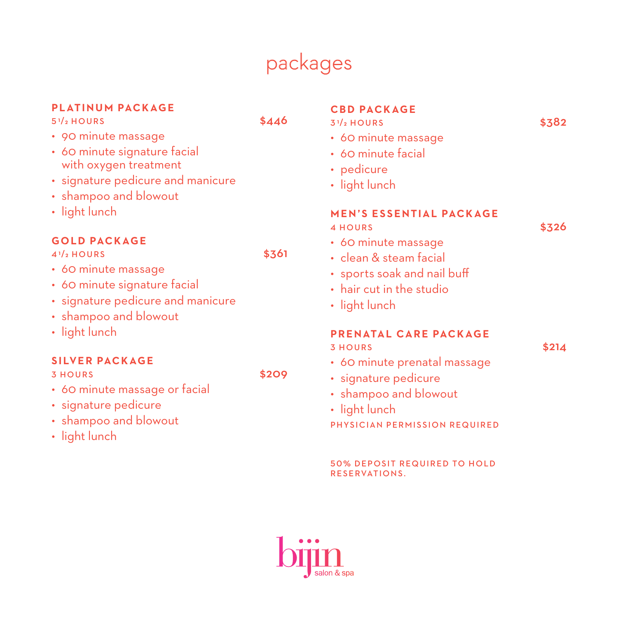# packages

## **PLATINUM PACKAGE**

<sup>5</sup> **<sup>1</sup>**/**2** HOURS \$446

- 90 minute massage
- 60 minute signature facial with oxygen treatment
- signature pedicure and manicure
- shampoo and blowout
- light lunch

## **G O L D PAC K AG E**

<sup>4</sup> **<sup>1</sup>**/**2** HOURS \$361

- 60 minute massage
- 60 minute signature facial
- signature pedicure and manicure
- shampoo and blowout
- light lunch

## **SILVER PACKAGE**

3 HOURS \$209

- 60 minute massage or facial
- signature pedicure
- shampoo and blowout
- light lunch

## **CBD PACKAGE**

- <sup>3</sup> **<sup>1</sup>**/**<sup>2</sup>** HOURS \$382
	- 60 minute massage
	- 60 minute facial
	- pedicure
	- light lunch

#### **MEN'S ESSENTIAL PACKAGE**

- 4 HOURS \$326
	-

- 60 minute massage
- clean & steam facial
- sports soak and nail buff
- hair cut in the studio
- light lunch

### **P R E N ATA L C A R E PAC K AG E**

 $3$  HOURS  $$214$ 

- 60 minute prenatal massage
- signature pedicure
- shampoo and blowout
- light lunch

PHYSICIAN PERMISSION REQUIRED

#### **50% DEPOSIT REQUIRED TO HOLD** RESERVATIONS.

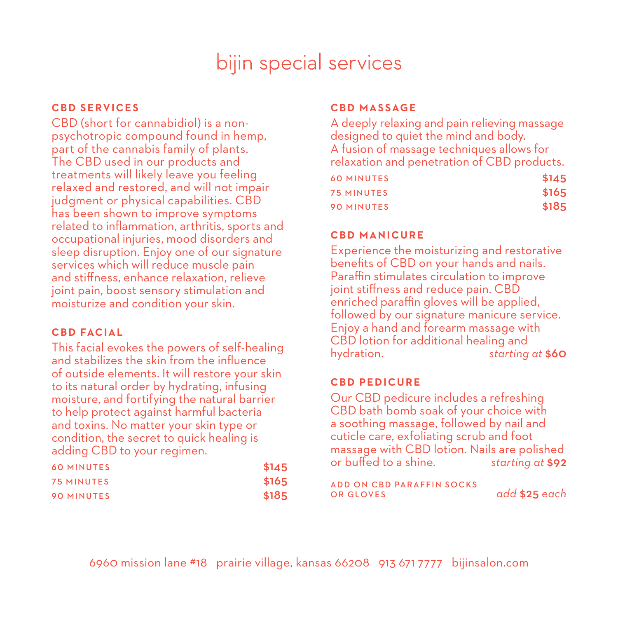# bijin special services

## **CBD SERVICES**

CBD (short for cannabidiol) is a nonpsychotropic compound found in hemp, part of the cannabis family of plants. The CBD used in our products and treatments will likely leave you feeling relaxed and restored, and will not impair judgment or physical capabilities. CBD has been shown to improve symptoms related to inflammation, arthritis, sports and occupational injuries, mood disorders and sleep disruption. Enjoy one of our signature services which will reduce muscle pain and stiffness, enhance relaxation, relieve joint pain, boost sensory stimulation and moisturize and condition your skin.

## **C B D FAC I A L**

This facial evokes the powers of self-healing and stabilizes the skin from the influence of outside elements. It will restore your skin to its natural order by hydrating, infusing moisture, and fortifying the natural barrier to help protect against harmful bacteria and toxins. No matter your skin type or condition, the secret to quick healing is adding CBD to your regimen.

| <b>60 MINUTES</b> | \$145 |
|-------------------|-------|
| <b>75 MINUTES</b> | \$165 |
| <b>90 MINUTES</b> | \$185 |

## **CBD MASSAGE**

A deeply relaxing and pain relieving massage designed to quiet the mind and body. A fusion of massage techniques allows for relaxation and penetration of CBD products.

| <b>60 MINUTES</b> | \$145 |
|-------------------|-------|
| 75 MINUTES        | \$165 |
| <b>90 MINUTES</b> | \$185 |

## **C B D M A N I C U R E**

Experience the moisturizing and restorative benefits of CBD on your hands and nails. Paraffin stimulates circulation to improve joint stiffness and reduce pain. CBD enriched paraffin gloves will be applied, followed by our signature manicure service. Enjoy a hand and forearm massage with CBD lotion for additional healing and<br>hydration. starting hydration. *starting at* \$60

## **CBD PEDICURE**

Our CBD pedicure includes a refreshing CBD bath bomb soak of your choice with a soothing massage, followed by nail and cuticle care, exfoliating scrub and foot massage with CBD lotion. Nails are polished or buffed to a shine. *starting at* \$92

A D D O N C B D PA R A F F I N SO C K S<br>O R G LOVES

OR GLOVES *add* \$25 *each*

6960 mission lane #18 prairie village, kansas 66208 913 671 7777 bijinsalon.com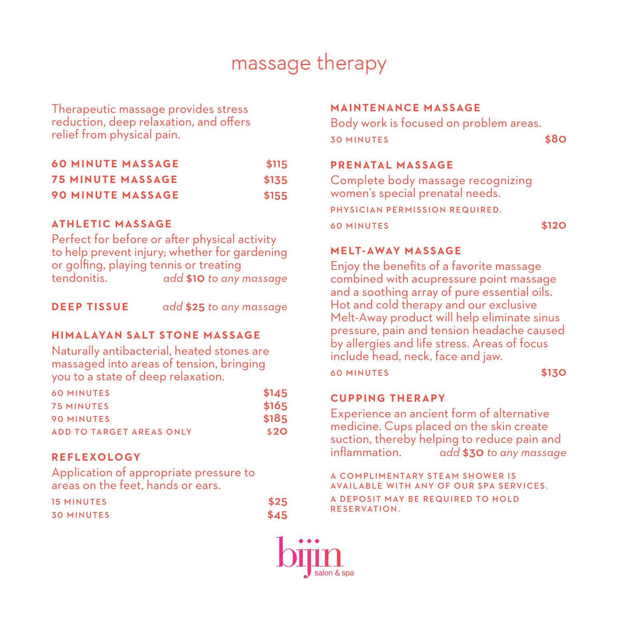# massage therapy

Therapeutic massage provides stress reduction, deep relaxation, and offers relief from physical pain.

|  | <b>60 MINUTE MASSAGE</b> | \$115 |
|--|--------------------------|-------|
|  | <b>75 MINUTE MASSAGE</b> | \$135 |
|  | <b>90 MINUTE MASSAGE</b> | \$155 |

## **AT H L E T I C M A S S AG E**

Perfect for before or after physical activity to help prevent injury; whether for gardening or golfing, playing tennis or treating tendonitis. *add* \$10 *to any massage*

**DEEP TISSUE** *add* \$25 *to any massage*

## **HIMALAYAN SALT STONE MASSAGE**

Naturally antibacterial, heated stones are massaged into areas of tension, bringing you to a state of deep relaxation.

| <b>60 MINUTES</b>        | \$145 |
|--------------------------|-------|
| <b>75 MINUTES</b>        | \$165 |
| <b>90 MINUTES</b>        | \$185 |
| ADD TO TARGET AREAS ONLY | \$2O  |

## **REFLEXOLOGY**

Application of appropriate pressure to areas on the feet, hands or ears.

| <b>15 MINUTES</b> | \$25 |
|-------------------|------|
| <b>30 MINUTES</b> | \$45 |

## **M A I N T E N A N C E M A S S AG E**

Body work is focused on problem areas. 30 MINUTES \$80

## **PRENATAL MASSAGE**

Complete body massage recognizing women's special prenatal needs. PHYSICIAN PERMISSION REQUIRED. 60 MINUTES \$120

## **MELT-AWAY MASSAGE**

Enjoy the benefits of a favorite massage combined with acupressure point massage and a soothing array of pure essential oils. Hot and cold therapy and our exclusive Melt-Away product will help eliminate sinus pressure, pain and tension headache caused by allergies and life stress. Areas of focus include head, neck, face and jaw.

60 MINUTES \$130

#### **CUPPING THERAPY**

Experience an ancient form of alternative medicine. Cups placed on the skin create suction, thereby helping to reduce pain and inflammation. *add* \$30 *to any massage*

A COMPLIMENTARY STEAM SHOWER IS AVAILABLE WITH ANY OF OUR SPA SERVICES. A DEPOSIT MAY BE REQUIRED TO HOLD RESERVATION.

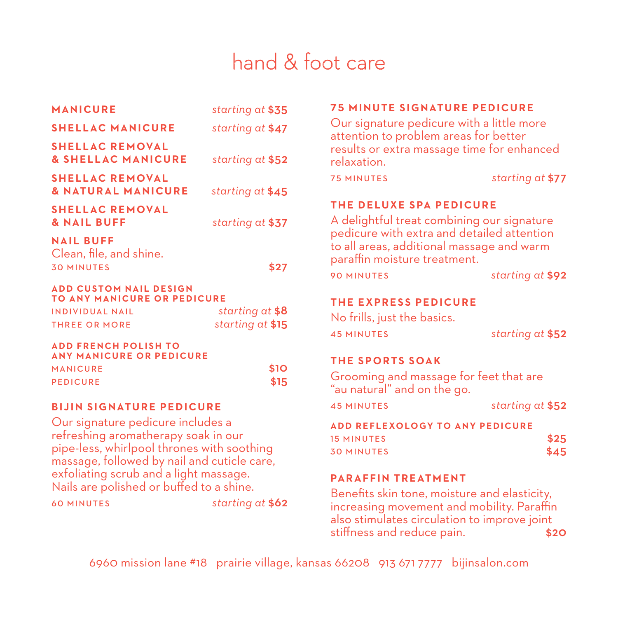# hand & foot care

| <b>MANICURE</b>                                                                                                                                                                                                 | starting at \$35 | <b>75 MINUTE SIGNATURE PEDICURE</b>                                                                                                             |                  |
|-----------------------------------------------------------------------------------------------------------------------------------------------------------------------------------------------------------------|------------------|-------------------------------------------------------------------------------------------------------------------------------------------------|------------------|
| <b>SHELLAC MANICURE</b>                                                                                                                                                                                         | starting at \$47 | Our signature pedicure with a little more<br>attention to problem areas for better<br>results or extra massage time for enhanced<br>relaxation. |                  |
| <b>SHELLAC REMOVAL</b><br><b>&amp; SHELLAC MANICURE</b>                                                                                                                                                         | starting at \$52 |                                                                                                                                                 |                  |
| <b>SHELLAC REMOVAL</b><br><b>&amp; NATURAL MANICURE</b>                                                                                                                                                         | starting at \$45 | <b>75 MINUTES</b>                                                                                                                               | starting at \$77 |
| <b>SHELLAC REMOVAL</b><br><b>&amp; NAIL BUFF</b>                                                                                                                                                                | starting at \$37 | THE DELUXE SPA PEDICURE<br>A delightful treat combining our signature                                                                           |                  |
| <b>NAIL BUFF</b><br>Clean, file, and shine.<br><b>30 MINUTES</b>                                                                                                                                                | \$27             | pedicure with extra and detailed attention<br>to all areas, additional massage and warm<br>paraffin moisture treatment.                         |                  |
|                                                                                                                                                                                                                 |                  | <b>90 MINUTES</b>                                                                                                                               | starting at \$92 |
| <b>ADD CUSTOM NAIL DESIGN</b><br><b>TO ANY MANICURE OR PEDICURE</b><br><b>INDIVIDUAL NAIL</b>                                                                                                                   | starting at \$8  | <b>THE EXPRESS PEDICURE</b><br>No frills, just the basics.                                                                                      |                  |
| <b>THREE OR MORE</b>                                                                                                                                                                                            | starting at \$15 | <b>45 MINUTES</b>                                                                                                                               | starting at \$52 |
| <b>ADD FRENCH POLISH TO</b><br><b>ANY MANICURE OR PEDICURE</b>                                                                                                                                                  |                  | <b>THE SPORTS SOAK</b>                                                                                                                          |                  |
| <b>MANICURE</b>                                                                                                                                                                                                 | \$10             |                                                                                                                                                 |                  |
| \$15<br><b>PEDICURE</b>                                                                                                                                                                                         |                  | Grooming and massage for feet that are<br>"au natural" and on the go.                                                                           |                  |
| <b>BIJIN SIGNATURE PEDICURE</b>                                                                                                                                                                                 |                  | <b>45 MINUTES</b>                                                                                                                               | starting at \$52 |
| Our signature pedicure includes a<br>refreshing aromatherapy soak in our<br>pipe-less, whirlpool thrones with soothing<br>massage, followed by nail and cuticle care,<br>exfoliating scrub and a light massage. |                  | <b>ADD REFLEXOLOGY TO ANY PEDICURE</b><br><b>15 MINUTES</b><br><b>30 MINUTES</b>                                                                | \$25<br>\$45     |
|                                                                                                                                                                                                                 |                  | <b>PARAFFIN TREATMENT</b>                                                                                                                       |                  |
| Nails are polished or buffed to a shine.                                                                                                                                                                        |                  | Benefits skin tone, moisture and elasticity,                                                                                                    |                  |
| starting at \$62<br><b>60 MINUTES</b>                                                                                                                                                                           |                  | increasing movement and mobility. Paraffin<br>also stimulates circulation to improve joint                                                      |                  |

6960 mission lane #18 prairie village, kansas 66208 913 671 7777 bijinsalon.com

stiffness and reduce pain. **\$20**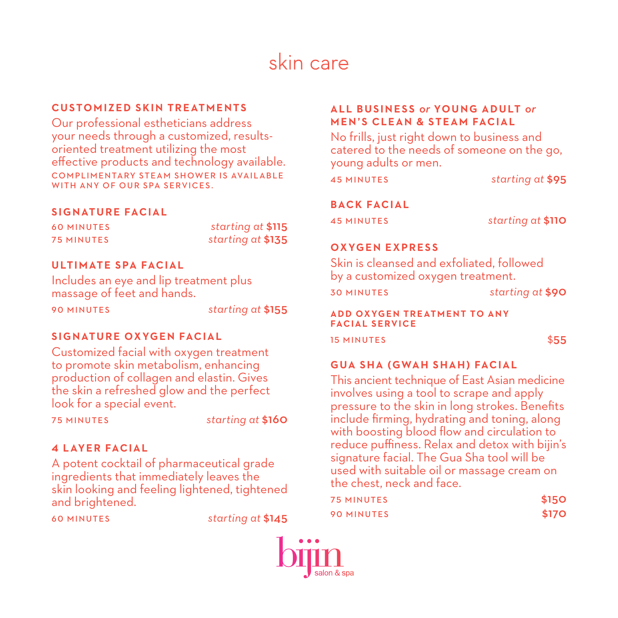# skin care

## **CUSTOMIZED SKIN TREATMENTS**

Our professional estheticians address your needs through a customized, resultsoriented treatment utilizing the most effective products and technology available. COMPLIMENTARY STEAM SHOWER IS AVAILABLE WITH ANY OF OUR SPA SERVICES.

## **SIGNATURE FACIAL**

| <b>60 MINUTES</b> | starting at \$115 |  |
|-------------------|-------------------|--|
| <b>75 MINUTES</b> | starting at \$135 |  |

## **ULTIMATE SPA FACIAL**

Includes an eye and lip treatment plus massage of feet and hands.

90 MINUTES *starting at* \$155

## **SIGNATURE OXYGEN FACIAL**

Customized facial with oxygen treatment to promote skin metabolism, enhancing production of collagen and elastin. Gives the skin a refreshed glow and the perfect look for a special event.

75 MINUTES *starting at* \$160

## **4 LAYER FACIAL**

A potent cocktail of pharmaceutical grade ingredients that immediately leaves the skin looking and feeling lightened, tightened and brightened.

60 MINUTES *starting at* \$145

## **ALL BUSINESS** *or* **YOUNG ADULT** *or* **MEN'S CLEAN & STEAM FACIAL**

No frills, just right down to business and catered to the needs of someone on the go, young adults or men.

45 MINUTES *starting at* \$95

#### **BACK FACIAL**

45 MINUTES *starting at* \$110

#### **OXYGEN EXPRESS**

Skin is cleansed and exfoliated, followed by a customized oxygen treatment.

30 MINUTES *starting at* \$90

**ADD OXYGEN TREATMENT TO ANY FACIAL SERVICE**

15 MINUTES \$55

## **GUA SHA (GWAH SHAH) FACIAL**

This ancient technique of East Asian medicine involves using a tool to scrape and apply pressure to the skin in long strokes. Benefits include firming, hydrating and toning, along with boosting blood flow and circulation to reduce puffiness. Relax and detox with bijin's signature facial. The Gua Sha tool will be used with suitable oil or massage cream on the chest, neck and face.

| <b>75 MINUTES</b> | \$150 |
|-------------------|-------|
| <b>90 MINUTES</b> | \$170 |

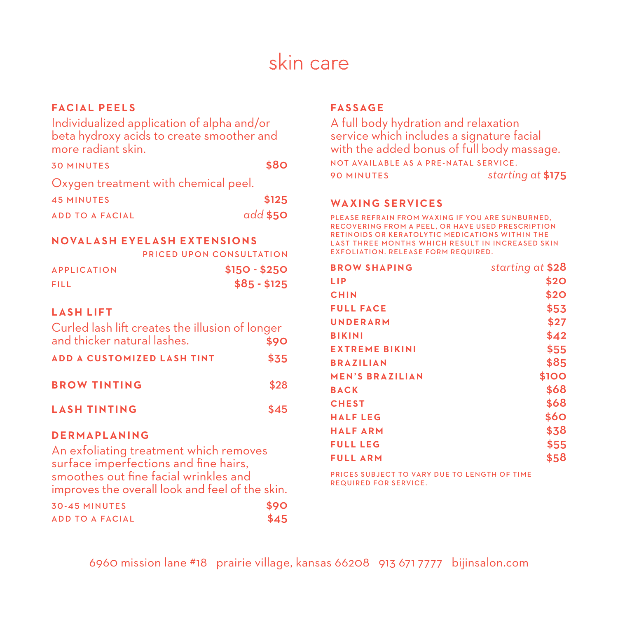# skin care

## **FACIAL PEELS**

Individualized application of alpha and/or beta hydroxy acids to create smoother and more radiant skin.

| <b>30 MINUTES</b>                    | \$80     |
|--------------------------------------|----------|
| Oxygen treatment with chemical peel. |          |
| <b>45 MINUTES</b>                    | \$125    |
| <b>ADD TO A FACIAL</b>               | add \$50 |

#### **NOVALASH EYELASH EXTENSIONS**

PRICED UPON CONSULTATION APPLICATION \$150 - \$250

|                      | ---------- |
|----------------------|------------|
| $$85 - $125$<br>FILL |            |

#### **LASH LIFT**

| Curled lash lift creates the illusion of longer |      |
|-------------------------------------------------|------|
| and thicker natural lashes.                     | \$90 |
| <b>ADD A CUSTOMIZED LASH TINT</b>               | \$35 |
| <b>BROW TINTING</b>                             | \$28 |
| <b>LASH TINTING</b>                             | \$45 |

#### **D E R M A P L A N I N G**

An exfoliating treatment which removes surface imperfections and fine hairs, smoothes out fine facial wrinkles and improves the overall look and feel of the skin.

| <b>30-45 MINUTES</b>   | \$90 |
|------------------------|------|
| <b>ADD TO A FACIAL</b> | \$45 |

## **FASSAGE**

A full body hydration and relaxation service which includes a signature facial with the added bonus of full body massage. NOT AVAILABLE AS A PRE-NATAL SERVICE. 90 MINUTES *starting at* \$175

#### **WAXING SERVICES**

PLEASE REFRAIN FROM WAXING IF YOU ARE SUNBURNED, RECOVERING FROM A PEEL , OR HAVE USED PRESCRIPTION RETINOIDS OR KERATOLYTIC MEDICATIONS WITHIN THE LAST THREE MONTHS WHICH RESULT IN INCREASED SKIN EXFOLIATION, RELEASE FORM REQUIRED.

| <b>BROW SHAPING</b>    | starting at \$28 |
|------------------------|------------------|
| LIP                    | \$20             |
| <b>CHIN</b>            | \$20             |
| <b>FULL FACE</b>       | \$53             |
| <b>UNDERARM</b>        | \$27             |
| <b>BIKINI</b>          | \$42             |
| <b>EXTREME BIKINI</b>  | \$55             |
| <b>BRAZILIAN</b>       | \$85             |
| <b>MEN'S BRAZILIAN</b> | \$100            |
| <b>BACK</b>            | \$68             |
| <b>CHEST</b>           | \$68             |
| <b>HALFLEG</b>         | \$60             |
| <b>HALFARM</b>         | \$38             |
| <b>FULL LEG</b>        | \$55             |
| <b>FULL ARM</b>        | \$58             |
|                        |                  |

PRICES SUBJECT TO VARY DUE TO LENGTH OF TIME REQUIRED FOR SERVICE.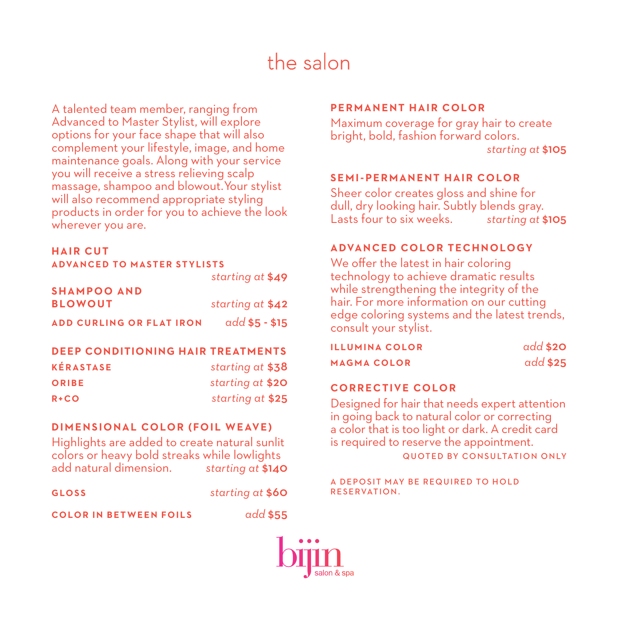# the salon

A talented team member, ranging from Advanced to Master Stylist, will explore options for your face shape that will also complement your lifestyle, image, and home maintenance goals. Along with your service you will receive a stress relieving scalp massage, shampoo and blowout. Your stylist will also recommend appropriate styling products in order for you to achieve the look wherever you are.

## **HAIR CUT**

| <b>ADVANCED TO MASTER STYLISTS</b> |                  |
|------------------------------------|------------------|
|                                    | starting at \$49 |
| <b>SHAMPOO AND</b>                 |                  |
| <b>BLOWOUT</b>                     | starting at \$42 |
| <b>ADD CURLING OR FLAT IRON</b>    | $add $5 - $15$   |

#### **DEEP CONDITIONING HAIR TREATMENTS**

| <b>KÉRASTASE</b> | starting at \$38 |
|------------------|------------------|
| ORIBE            | starting at \$20 |
| $R + CO$         | starting at \$25 |

## **DIMENSIONAL COLOR (FOIL WEAVE)**

Highlights are added to create natural sunlit colors or heavy bold streaks while lowlights add natural dimension. *starting at* \$140

**GLOSS** *starting at* \$60

**COLOR IN BETWEEN FOILS** *add* \$55

## **PERMANENT HAIR COLOR**

Maximum coverage for gray hair to create bright, bold, fashion forward colors. *starting at* \$105

#### **SEMI-PERMANENT HAIR COLOR**

Sheer color creates gloss and shine for dull, dry looking hair. Subtly blends gray. Lasts four to six weeks. *starting at* \$105

## **ADVANCED COLOR TECHNOLOGY**

We offer the latest in hair coloring technology to achieve dramatic results while strengthening the integrity of the hair. For more information on our cutting edge coloring systems and the latest trends, consult your stylist.

| ILLUMINA COLOR | add \$20 |
|----------------|----------|
| MAGMA COLOR    | add \$25 |

## **CORRECTIVE COLOR**

Designed for hair that needs expert attention in going back to natural color or correcting a color that is too light or dark. A credit card is required to reserve the appointment. QUOTED BY CONSULTATION ONLY

A DEPOSIT MAY BE REQUIRED TO HOLD RESERVATION.

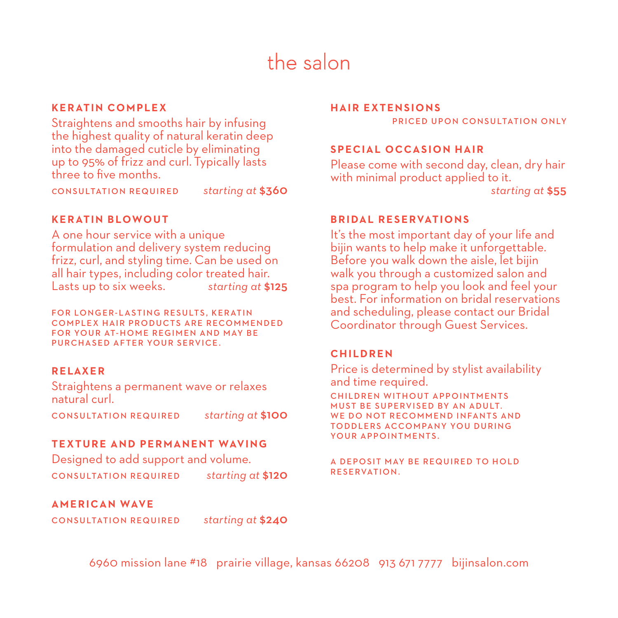# the salon

## **KERATIN COMPLEX**

Straightens and smooths hair by infusing the highest quality of natural keratin deep into the damaged cuticle by eliminating up to 95% of frizz and curl. Typically lasts three to five months.

*c*ONSULTATION REQUIRED *starting at* \$360

### **KERATIN BLOWOUT**

A one hour service with a unique formulation and delivery system reducing frizz, curl, and styling time. Can be used on all hair types, including color treated hair. Lasts up to six weeks. *starting at* \$125

FOR LONGER-LASTING RESULTS, KERATIN COMPLEX HAIR PRODUCTS ARE RECOMMENDED FOR YOUR AT-HOME REGIMEN AND MAY BE PURCHASED AFTER YOUR SERVICE.

## **RELAXER**

Straightens a permanent wave or relaxes natural curl.

CONSULTATION REQUIRED *starting at* \$100

#### **TEXTURE AND PERMANENT WAVING**

Designed to add support and volume. CONSULTATION REQUIRED *starting at* \$120

#### **HAIR EXTENSIONS**

PRICED UPON CONSULTATION ONLY

## **SPECIAL OCCASION HAIR**

Please come with second day, clean, dry hair with minimal product applied to it. *starting at* \$55

#### **BRIDAL RESERVATIONS**

It's the most important day of your life and bijin wants to help make it unforgettable. Before you walk down the aisle, let bijin walk you through a customized salon and spa program to help you look and feel your best. For information on bridal reservations and scheduling, please contact our Bridal Coordinator through Guest Services.

#### **CHILDREN**

Price is determined by stylist availability and time required.

CHILDREN WITHOUT APPOINTMENTS MUST BE SUPERVISED BY AN ADULT. WE DO NOT RECOMMEND INFANTS AND TOD DLERS ACCOMPANY YOU DURING YOUR APPOINTMENTS.

A DEPOSIT MAY BE REQUIRED TO HOLD RESERVATION.

**AMERICAN WAVE**

CONSULTATION REQUIRED *starting at* \$240

6960 mission lane #18 prairie village, kansas 66208 913 671 7777 bijinsalon.com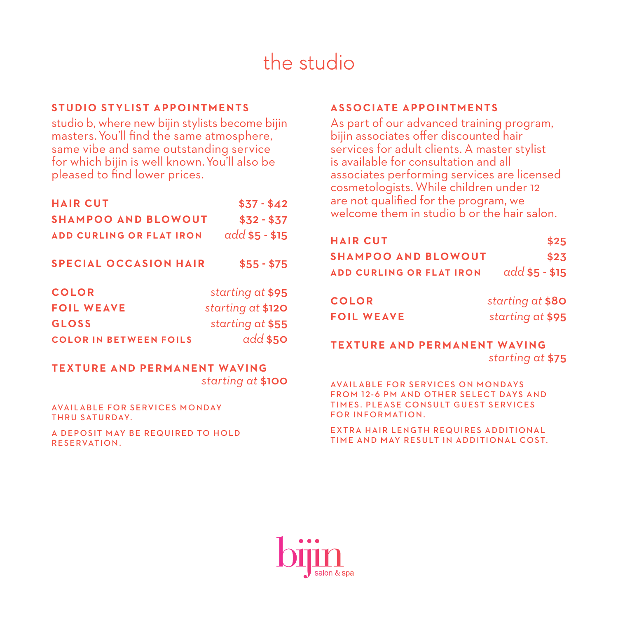# the studio

## **STUDIO STYLIST APPOINTMENTS**

studio b, where new bijin stylists become bijin masters. You'll find the same atmosphere, same vibe and same outstanding service for which bijin is well known. You'll also be pleased to find lower prices.

| <b>HAIR CUT</b>                 | $$37 - $42$       |
|---------------------------------|-------------------|
| <b>SHAMPOO AND BLOWOUT</b>      | $$32 - $37$       |
| <b>ADD CURLING OR FLAT IRON</b> | $add $5 - $15$    |
| <b>SPECIAL OCCASION HAIR</b>    | $$55 - $75$       |
| <b>COLOR</b>                    | starting at \$95  |
| <b>FOIL WEAVE</b>               | starting at \$120 |
| <b>GLOSS</b>                    | starting at \$55  |
| <b>COLOR IN BETWEEN FOILS</b>   | $add$ \$50        |

## **TEXTURE AND PERMANENT WAVING** *starting at* \$100

AVAILABLE FOR SERVICES MONDAY THRU SATURDAY.

A DEPOSIT MAY BE REQUIRED TO HOLD RESERVATION.

## **ASSOCIATE APPOINTMENTS**

As part of our advanced training program, bijin associates offer discounted hair services for adult clients. A master stylist is available for consultation and all associates performing services are licensed cosmetologists. While children under 12 are not qualified for the program, we welcome them in studio b or the hair salon

| <b>HAIR CUT</b>                 | \$25             |
|---------------------------------|------------------|
| <b>SHAMPOO AND BLOWOUT</b>      | \$23             |
| <b>ADD CURLING OR FLAT IRON</b> | $add$ \$5 - \$15 |
| <b>COLOR</b>                    | starting at \$80 |
| <b>FOIL WEAVE</b>               | starting at \$95 |

## **TEXTURE AND PERMANENT WAVING** *starting at* \$75

**AVAILABLE FOR SERVICES ON MONDAYS** FROM 12-6 PM AND OTHER SELECT DAYS AND TIMES. PLEASE CONSULT GUEST SERVICES FOR INFORMATION.

EXTRA HAIR LENGTH REQUIRES ADDITIONAL TIME AND MAY RESULT IN ADDITIONAL COST.